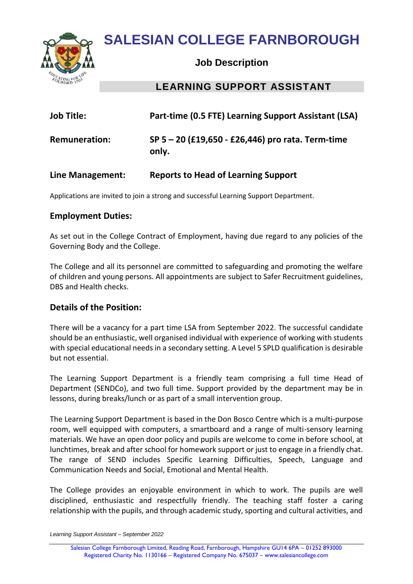

# **SALESIAN COLLEGE FARNBOROUGH**

### **Job Description**

## **LEARNING SUPPORT ASSISTANT**

| <b>Job Title:</b>    | Part-time (0.5 FTE) Learning Support Assistant (LSA)       |
|----------------------|------------------------------------------------------------|
| <b>Remuneration:</b> | SP 5 - 20 (£19,650 - £26,446) pro rata. Term-time<br>only. |

#### **Line Management: Reports to Head of Learning Support**

Applications are invited to join a strong and successful Learning Support Department.

#### **Employment Duties:**

As set out in the College Contract of Employment, having due regard to any policies of the Governing Body and the College.

The College and all its personnel are committed to safeguarding and promoting the welfare of children and young persons. All appointments are subject to Safer Recruitment guidelines, DBS and Health checks.

#### **Details of the Position:**

There will be a vacancy for a part time LSA from September 2022. The successful candidate should be an enthusiastic, well organised individual with experience of working with students with special educational needs in a secondary setting. A Level 5 SPLD qualification is desirable but not essential.

The Learning Support Department is a friendly team comprising a full time Head of Department (SENDCo), and two full time. Support provided by the department may be in lessons, during breaks/lunch or as part of a small intervention group.

The Learning Support Department is based in the Don Bosco Centre which is a multi-purpose room, well equipped with computers, a smartboard and a range of multi-sensory learning materials. We have an open door policy and pupils are welcome to come in before school, at lunchtimes, break and after school for homework support or just to engage in a friendly chat. The range of SEND includes Specific Learning Difficulties, Speech, Language and Communication Needs and Social, Emotional and Mental Health.

The College provides an enjoyable environment in which to work. The pupils are well disciplined, enthusiastic and respectfully friendly. The teaching staff foster a caring relationship with the pupils, and through academic study, sporting and cultural activities, and

*Learning Support Assistant – September 2022*